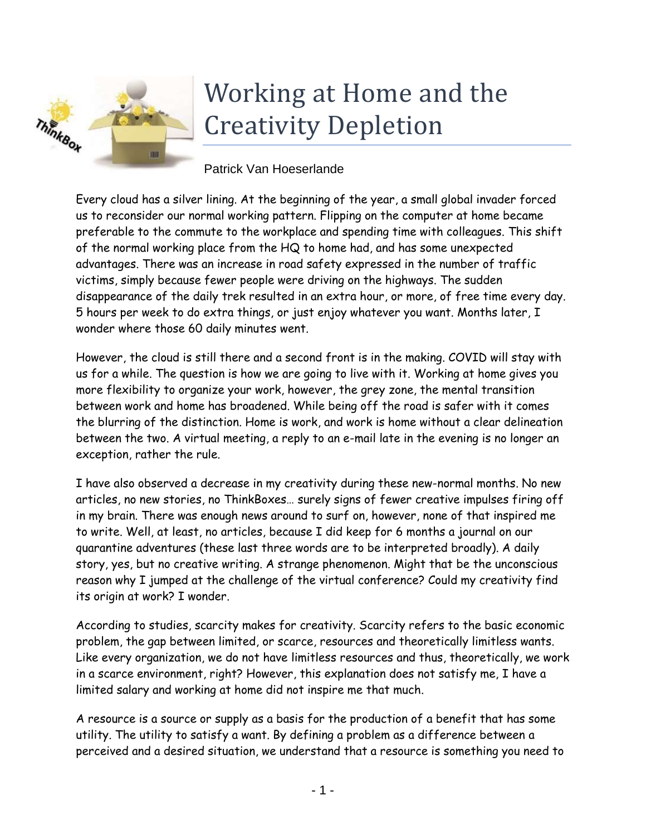

## Working at Home and the Creativity Depletion

Patrick Van Hoeserlande

Every cloud has a silver lining. At the beginning of the year, a small global invader forced us to reconsider our normal working pattern. Flipping on the computer at home became preferable to the commute to the workplace and spending time with colleagues. This shift of the normal working place from the HQ to home had, and has some unexpected advantages. There was an increase in road safety expressed in the number of traffic victims, simply because fewer people were driving on the highways. The sudden disappearance of the daily trek resulted in an extra hour, or more, of free time every day. 5 hours per week to do extra things, or just enjoy whatever you want. Months later, I wonder where those 60 daily minutes went.

However, the cloud is still there and a second front is in the making. COVID will stay with us for a while. The question is how we are going to live with it. Working at home gives you more flexibility to organize your work, however, the grey zone, the mental transition between work and home has broadened. While being off the road is safer with it comes the blurring of the distinction. Home is work, and work is home without a clear delineation between the two. A virtual meeting, a reply to an e-mail late in the evening is no longer an exception, rather the rule.

I have also observed a decrease in my creativity during these new-normal months. No new articles, no new stories, no ThinkBoxes… surely signs of fewer creative impulses firing off in my brain. There was enough news around to surf on, however, none of that inspired me to write. Well, at least, no articles, because I did keep for 6 months a journal on our quarantine adventures (these last three words are to be interpreted broadly). A daily story, yes, but no creative writing. A strange phenomenon. Might that be the unconscious reason why I jumped at the challenge of the virtual conference? Could my creativity find its origin at work? I wonder.

According to studies, scarcity makes for creativity. Scarcity refers to the basic economic problem, the gap between limited, or scarce, resources and theoretically limitless wants. Like every organization, we do not have limitless resources and thus, theoretically, we work in a scarce environment, right? However, this explanation does not satisfy me, I have a limited salary and working at home did not inspire me that much.

A resource is a source or supply as a basis for the production of a benefit that has some utility. The utility to satisfy a want. By defining a problem as a difference between a perceived and a desired situation, we understand that a resource is something you need to